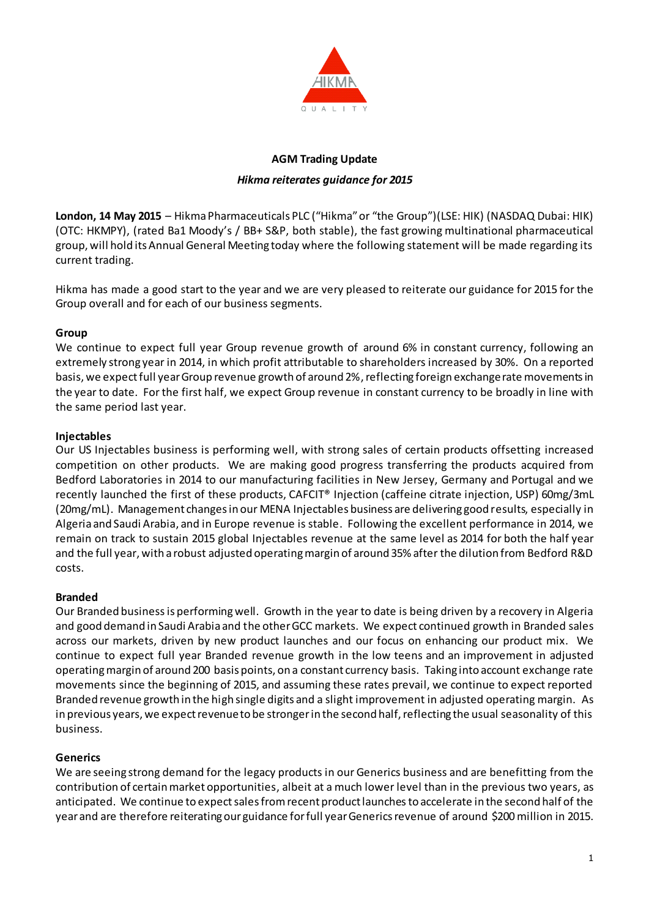

# **AGM Trading Update**

#### *Hikma reiterates guidance for 2015*

**London, 14 May 2015** – Hikma Pharmaceuticals PLC ("Hikma" or "the Group")(LSE: HIK) (NASDAQ Dubai: HIK) (OTC: HKMPY), (rated Ba1 Moody's / BB+ S&P, both stable), the fast growing multinational pharmaceutical group, will hold its Annual General Meeting today where the following statement will be made regarding its current trading.

Hikma has made a good start to the year and we are very pleased to reiterate our guidance for 2015 for the Group overall and for each of our business segments.

# **Group**

We continue to expect full year Group revenue growth of around 6% in constant currency, following an extremely strong year in 2014, in which profit attributable to shareholders increased by 30%. On a reported basis, we expectfull year Group revenue growth of around 2%, reflecting foreign exchange rate movements in the year to date. For the first half, we expect Group revenue in constant currency to be broadly in line with the same period last year.

# **Injectables**

Our US Injectables business is performing well, with strong sales of certain products offsetting increased competition on other products. We are making good progress transferring the products acquired from Bedford Laboratories in 2014 to our manufacturing facilities in New Jersey, Germany and Portugal and we recently launched the first of these products, CAFCIT® Injection (caffeine citrate injection, USP) 60mg/3mL (20mg/mL). Management changes in our MENA Injectables business are delivering good results, especially in Algeria and Saudi Arabia, and in Europe revenue is stable. Following the excellent performance in 2014, we remain on track to sustain 2015 global Injectables revenue at the same level as 2014 for both the half year and the full year, with a robust adjusted operating margin of around 35% after the dilution from Bedford R&D costs.

# **Branded**

Our Branded business is performing well. Growth in the year to date is being driven by a recovery in Algeria and good demand in Saudi Arabia and the other GCC markets. We expect continued growth in Branded sales across our markets, driven by new product launches and our focus on enhancing our product mix. We continue to expect full year Branded revenue growth in the low teens and an improvement in adjusted operating margin of around 200 basis points, on a constant currency basis. Taking into account exchange rate movements since the beginning of 2015, and assuming these rates prevail, we continue to expect reported Branded revenue growth in the high single digits and a slight improvement in adjusted operating margin. As in previous years, we expect revenue to be stronger in the second half, reflecting the usual seasonality of this business.

# **Generics**

We are seeing strong demand for the legacy products in our Generics business and are benefitting from the contribution of certain market opportunities, albeit at a much lower level than in the previous two years, as anticipated. We continue to expect sales from recent product launchesto accelerate in the second half of the year and are therefore reiterating our guidance for full year Generics revenue of around \$200 million in 2015.